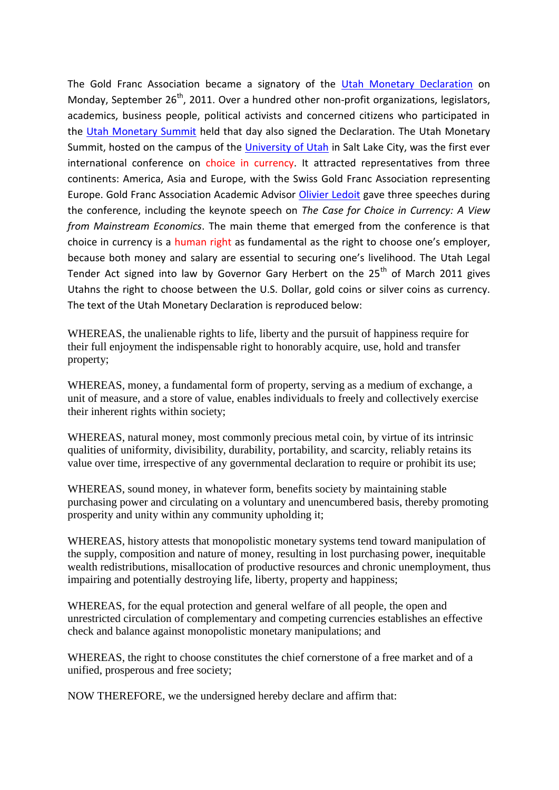The Gold Franc Association became a signatory of the [Utah Monetary Declaration](http://utahmonetarysummit.com/items/index/251) on Monday, September  $26<sup>th</sup>$ , 2011. Over a hundred other non-profit organizations, legislators, academics, business people, political activists and concerned citizens who participated in the [Utah Monetary Summit](http://utahmonetarysummit.com/) held that day also signed the Declaration. The Utah Monetary Summit, hosted on the campus of the [University of Utah](http://www.utah.edu/) in Salt Lake City, was the first ever international conference on choice in currency. It attracted representatives from three continents: America, Asia and Europe, with the Swiss Gold Franc Association representing Europe. Gold Franc Association Academic Advisor [Olivier Ledoit](http://utahmonetarysummit.com/items/index/245) gave three speeches during the conference, including the keynote speech on *The Case for Choice in Currency: A View from Mainstream Economics*. The main theme that emerged from the conference is that choice in currency is a human right as fundamental as the right to choose one's employer, because both money and salary are essential to securing one's livelihood. The Utah Legal Tender Act signed into law by Governor Gary Herbert on the  $25<sup>th</sup>$  of March 2011 gives Utahns the right to choose between the U.S. Dollar, gold coins or silver coins as currency. The text of the Utah Monetary Declaration is reproduced below:

WHEREAS, the unalienable rights to life, liberty and the pursuit of happiness require for their full enjoyment the indispensable right to honorably acquire, use, hold and transfer property;

WHEREAS, money, a fundamental form of property, serving as a medium of exchange, a unit of measure, and a store of value, enables individuals to freely and collectively exercise their inherent rights within society;

WHEREAS, natural money, most commonly precious metal coin, by virtue of its intrinsic qualities of uniformity, divisibility, durability, portability, and scarcity, reliably retains its value over time, irrespective of any governmental declaration to require or prohibit its use;

WHEREAS, sound money, in whatever form, benefits society by maintaining stable purchasing power and circulating on a voluntary and unencumbered basis, thereby promoting prosperity and unity within any community upholding it;

WHEREAS, history attests that monopolistic monetary systems tend toward manipulation of the supply, composition and nature of money, resulting in lost purchasing power, inequitable wealth redistributions, misallocation of productive resources and chronic unemployment, thus impairing and potentially destroying life, liberty, property and happiness;

WHEREAS, for the equal protection and general welfare of all people, the open and unrestricted circulation of complementary and competing currencies establishes an effective check and balance against monopolistic monetary manipulations; and

WHEREAS, the right to choose constitutes the chief cornerstone of a free market and of a unified, prosperous and free society;

NOW THEREFORE, we the undersigned hereby declare and affirm that: